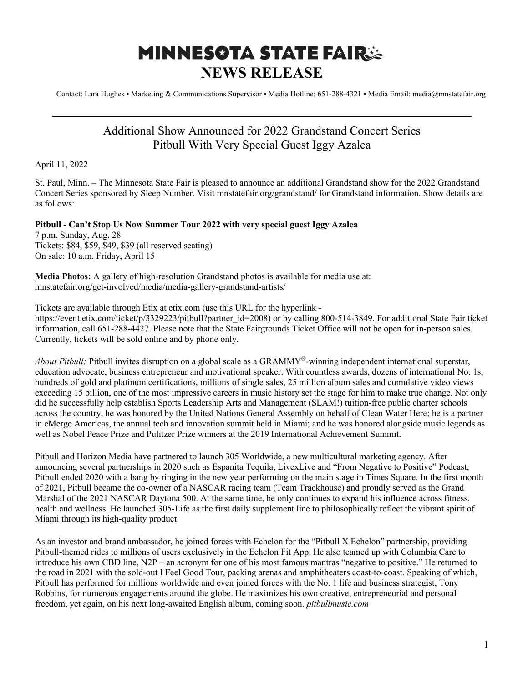## **MINNESOTA STATE FAIRSE NEWS RELEASE**

Contact: Lara Hughes • Marketing & Communications Supervisor • Media Hotline: 651-288-4321 • Media Email: media@mnstatefair.org

## Additional Show Announced for 2022 Grandstand Concert Series Pitbull With Very Special Guest Iggy Azalea

**———————————————————————————**

April 11, 2022

St. Paul, Minn. – The Minnesota State Fair is pleased to announce an additional Grandstand show for the 2022 Grandstand Concert Series sponsored by Sleep Number. Visit mnstatefair.org/grandstand/ for Grandstand information. Show details are as follows:

## **Pitbull - Can't Stop Us Now Summer Tour 2022 with very special guest Iggy Azalea**

7 p.m. Sunday, Aug. 28 Tickets: \$84, \$59, \$49, \$39 (all reserved seating) On sale: 10 a.m. Friday, April 15

**Media Photos:** A gallery of high-resolution Grandstand photos is available for media use at: mnstatefair.org/get-involved/media/media-gallery-grandstand-artists/

Tickets are available through Etix at etix.com (use this URL for the hyperlink https://event.etix.com/ticket/p/3329223/pitbull?partner\_id=2008) or by calling 800-514-3849. For additional State Fair ticket information, call 651-288-4427. Please note that the State Fairgrounds Ticket Office will not be open for in-person sales. Currently, tickets will be sold online and by phone only.

*About Pitbull:* Pitbull invites disruption on a global scale as a GRAMMY®-winning independent international superstar, education advocate, business entrepreneur and motivational speaker. With countless awards, dozens of international No. 1s, hundreds of gold and platinum certifications, millions of single sales, 25 million album sales and cumulative video views exceeding 15 billion, one of the most impressive careers in music history set the stage for him to make true change. Not only did he successfully help establish Sports Leadership Arts and Management (SLAM!) tuition-free public charter schools across the country, he was honored by the United Nations General Assembly on behalf of Clean Water Here; he is a partner in eMerge Americas, the annual tech and innovation summit held in Miami; and he was honored alongside music legends as well as Nobel Peace Prize and Pulitzer Prize winners at the 2019 International Achievement Summit.

Pitbull and Horizon Media have partnered to launch 305 Worldwide, a new multicultural marketing agency. After announcing several partnerships in 2020 such as Espanita Tequila, LivexLive and "From Negative to Positive" Podcast, Pitbull ended 2020 with a bang by ringing in the new year performing on the main stage in Times Square. In the first month of 2021, Pitbull became the co-owner of a NASCAR racing team (Team Trackhouse) and proudly served as the Grand Marshal of the 2021 NASCAR Daytona 500. At the same time, he only continues to expand his influence across fitness, health and wellness. He launched 305-Life as the first daily supplement line to philosophically reflect the vibrant spirit of Miami through its high-quality product.

As an investor and brand ambassador, he joined forces with Echelon for the "Pitbull X Echelon" partnership, providing Pitbull-themed rides to millions of users exclusively in the Echelon Fit App. He also teamed up with Columbia Care to introduce his own CBD line, N2P – an acronym for one of his most famous mantras "negative to positive." He returned to the road in 2021 with the sold-out I Feel Good Tour, packing arenas and amphitheaters coast-to-coast. Speaking of which, Pitbull has performed for millions worldwide and even joined forces with the No. 1 life and business strategist, Tony Robbins, for numerous engagements around the globe. He maximizes his own creative, entrepreneurial and personal freedom, yet again, on his next long-awaited English album, coming soon. *pitbullmusic.com*